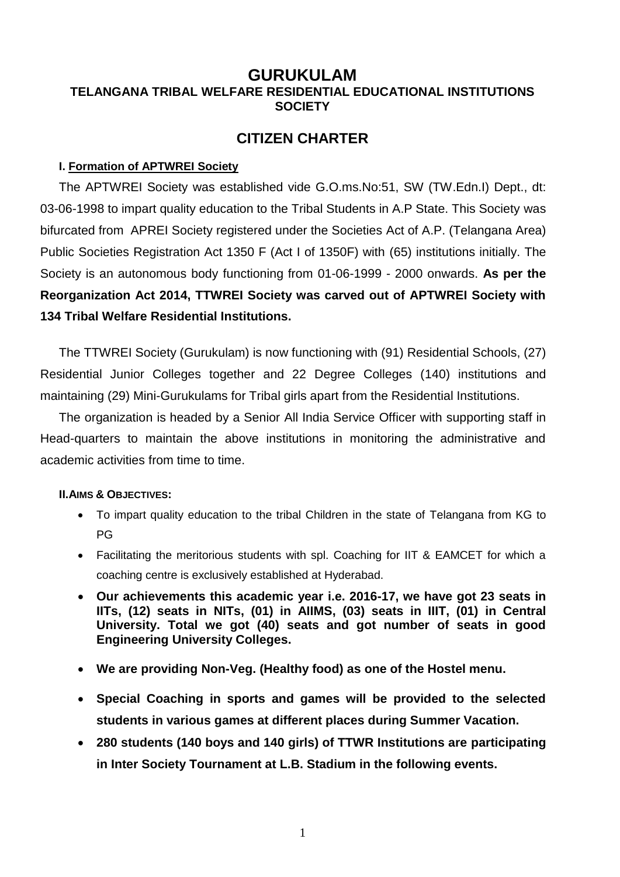# **GURUKULAM TELANGANA TRIBAL WELFARE RESIDENTIAL EDUCATIONAL INSTITUTIONS SOCIETY**

# **CITIZEN CHARTER**

### **I. Formation of APTWREI Society**

The APTWREI Society was established vide G.O.ms.No:51, SW (TW.Edn.I) Dept., dt: 03-06-1998 to impart quality education to the Tribal Students in A.P State. This Society was bifurcated from APREI Society registered under the Societies Act of A.P. (Telangana Area) Public Societies Registration Act 1350 F (Act I of 1350F) with (65) institutions initially. The Society is an autonomous body functioning from 01-06-1999 - 2000 onwards. **As per the Reorganization Act 2014, TTWREI Society was carved out of APTWREI Society with 134 Tribal Welfare Residential Institutions.**

The TTWREI Society (Gurukulam) is now functioning with (91) Residential Schools, (27) Residential Junior Colleges together and 22 Degree Colleges (140) institutions and maintaining (29) Mini-Gurukulams for Tribal girls apart from the Residential Institutions.

The organization is headed by a Senior All India Service Officer with supporting staff in Head-quarters to maintain the above institutions in monitoring the administrative and academic activities from time to time.

#### **II.AIMS & OBJECTIVES:**

- To impart quality education to the tribal Children in the state of Telangana from KG to PG
- Facilitating the meritorious students with spl. Coaching for IIT & EAMCET for which a coaching centre is exclusively established at Hyderabad.
- **Our achievements this academic year i.e. 2016-17, we have got 23 seats in IITs, (12) seats in NITs, (01) in AIIMS, (03) seats in IIIT, (01) in Central University. Total we got (40) seats and got number of seats in good Engineering University Colleges.**
- **We are providing Non-Veg. (Healthy food) as one of the Hostel menu.**
- **Special Coaching in sports and games will be provided to the selected students in various games at different places during Summer Vacation.**
- **280 students (140 boys and 140 girls) of TTWR Institutions are participating in Inter Society Tournament at L.B. Stadium in the following events.**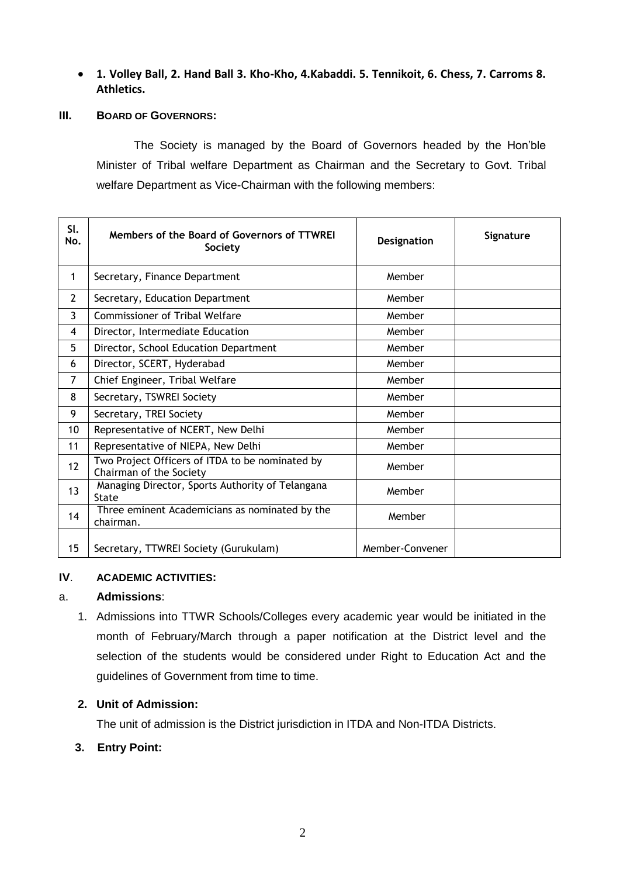### **1. Volley Ball, 2. Hand Ball 3. Kho-Kho, 4.Kabaddi. 5. Tennikoit, 6. Chess, 7. Carroms 8. Athletics.**

#### **III. BOARD OF GOVERNORS:**

The Society is managed by the Board of Governors headed by the Hon'ble Minister of Tribal welfare Department as Chairman and the Secretary to Govt. Tribal welfare Department as Vice-Chairman with the following members:

| SI.<br>No.     | Members of the Board of Governors of TTWREI<br>Society                     | Designation     | Signature |
|----------------|----------------------------------------------------------------------------|-----------------|-----------|
| 1              | Secretary, Finance Department                                              | Member          |           |
| $\overline{2}$ | Secretary, Education Department                                            | Member          |           |
| 3              | <b>Commissioner of Tribal Welfare</b>                                      | Member          |           |
| 4              | Director, Intermediate Education                                           | Member          |           |
| 5              | Director, School Education Department                                      | Member          |           |
| 6              | Director, SCERT, Hyderabad                                                 | Member          |           |
| 7              | Chief Engineer, Tribal Welfare                                             | Member          |           |
| 8              | Secretary, TSWREI Society                                                  | Member          |           |
| 9              | Secretary, TREI Society                                                    | Member          |           |
| 10             | Representative of NCERT, New Delhi                                         | Member          |           |
| 11             | Representative of NIEPA, New Delhi                                         | Member          |           |
| 12             | Two Project Officers of ITDA to be nominated by<br>Chairman of the Society | Member          |           |
| 13             | Managing Director, Sports Authority of Telangana<br><b>State</b>           | Member          |           |
| 14             | Three eminent Academicians as nominated by the<br>chairman.                | Member          |           |
| 15             | Secretary, TTWREI Society (Gurukulam)                                      | Member-Convener |           |

### **IV**. **ACADEMIC ACTIVITIES:**

#### a. **Admissions**:

1. Admissions into TTWR Schools/Colleges every academic year would be initiated in the month of February/March through a paper notification at the District level and the selection of the students would be considered under Right to Education Act and the guidelines of Government from time to time.

#### **2. Unit of Admission:**

The unit of admission is the District jurisdiction in ITDA and Non-ITDA Districts.

#### **3. Entry Point:**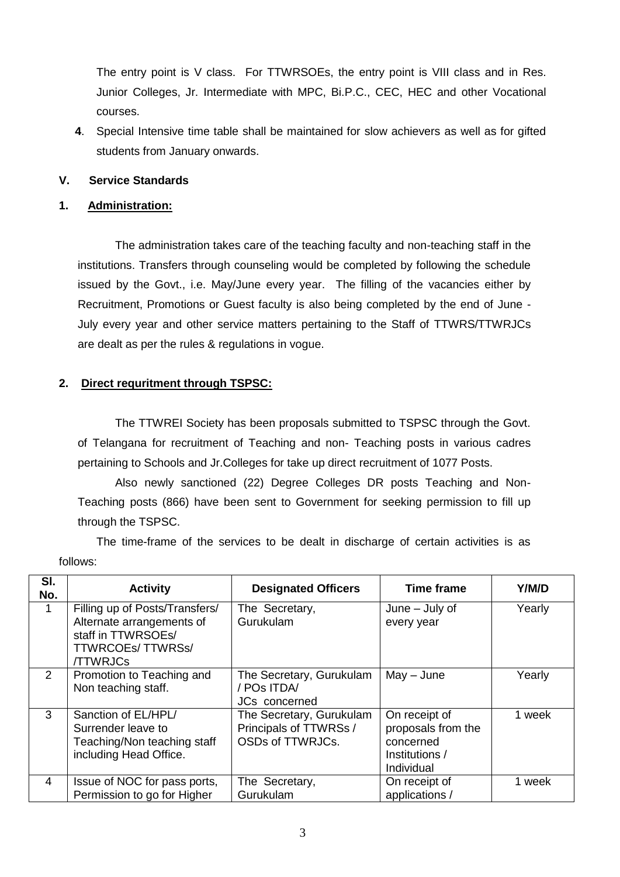The entry point is V class. For TTWRSOEs, the entry point is VIII class and in Res. Junior Colleges, Jr. Intermediate with MPC, Bi.P.C., CEC, HEC and other Vocational courses.

 **4**. Special Intensive time table shall be maintained for slow achievers as well as for gifted students from January onwards.

### **V. Service Standards**

### **1. Administration:**

The administration takes care of the teaching faculty and non-teaching staff in the institutions. Transfers through counseling would be completed by following the schedule issued by the Govt., i.e. May/June every year. The filling of the vacancies either by Recruitment, Promotions or Guest faculty is also being completed by the end of June - July every year and other service matters pertaining to the Staff of TTWRS/TTWRJCs are dealt as per the rules & regulations in vogue.

### **2. Direct requritment through TSPSC:**

The TTWREI Society has been proposals submitted to TSPSC through the Govt. of Telangana for recruitment of Teaching and non- Teaching posts in various cadres pertaining to Schools and Jr.Colleges for take up direct recruitment of 1077 Posts.

Also newly sanctioned (22) Degree Colleges DR posts Teaching and Non-Teaching posts (866) have been sent to Government for seeking permission to fill up through the TSPSC.

The time-frame of the services to be dealt in discharge of certain activities is as follows:

| SI.<br>No.    | <b>Activity</b>                                                                                                          | <b>Designated Officers</b>                                             | <b>Time frame</b>                                                                | Y/M/D  |
|---------------|--------------------------------------------------------------------------------------------------------------------------|------------------------------------------------------------------------|----------------------------------------------------------------------------------|--------|
|               | Filling up of Posts/Transfers/<br>Alternate arrangements of<br>staff in TTWRSOEs/<br>TTWRCOEs/TTWRSs/<br><b>/TTWRJCs</b> | The Secretary,<br>Gurukulam                                            | June $-$ July of<br>every year                                                   | Yearly |
| $\mathcal{P}$ | Promotion to Teaching and<br>Non teaching staff.                                                                         | The Secretary, Gurukulam<br>/ POs ITDA/<br><b>JCs</b> concerned        | $May - June$                                                                     | Yearly |
| $\mathcal{S}$ | Sanction of EL/HPL/<br>Surrender leave to<br>Teaching/Non teaching staff<br>including Head Office.                       | The Secretary, Gurukulam<br>Principals of TTWRSs /<br>OSDs of TTWRJCs. | On receipt of<br>proposals from the<br>concerned<br>Institutions /<br>Individual | 1 week |
| 4             | Issue of NOC for pass ports,<br>Permission to go for Higher                                                              | The Secretary,<br>Gurukulam                                            | On receipt of<br>applications /                                                  | 1 week |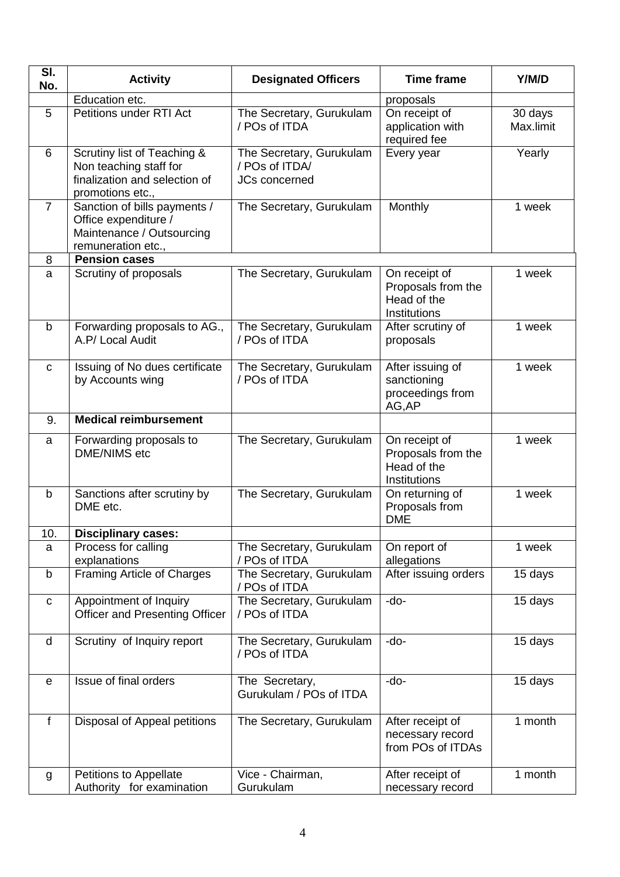| SI.<br>No.     | <b>Activity</b>                                                                                            | <b>Designated Officers</b>                                  | <b>Time frame</b>                                                  | Y/M/D                |
|----------------|------------------------------------------------------------------------------------------------------------|-------------------------------------------------------------|--------------------------------------------------------------------|----------------------|
|                | Education etc.                                                                                             |                                                             | proposals                                                          |                      |
| 5              | Petitions under RTI Act                                                                                    | The Secretary, Gurukulam<br>/ POs of ITDA                   | On receipt of<br>application with<br>required fee                  | 30 days<br>Max.limit |
| 6              | Scrutiny list of Teaching &<br>Non teaching staff for<br>finalization and selection of<br>promotions etc., | The Secretary, Gurukulam<br>/ POs of ITDA/<br>JCs concerned | Every year                                                         | Yearly               |
| $\overline{7}$ | Sanction of bills payments /<br>Office expenditure /<br>Maintenance / Outsourcing<br>remuneration etc.,    | The Secretary, Gurukulam                                    | Monthly                                                            | 1 week               |
| 8              | <b>Pension cases</b>                                                                                       |                                                             |                                                                    |                      |
| a              | Scrutiny of proposals                                                                                      | The Secretary, Gurukulam                                    | On receipt of<br>Proposals from the<br>Head of the<br>Institutions | 1 week               |
| b              | Forwarding proposals to AG.,<br>A.P/ Local Audit                                                           | The Secretary, Gurukulam<br>/ POs of ITDA                   | After scrutiny of<br>proposals                                     | 1 week               |
| $\mathbf{C}$   | Issuing of No dues certificate<br>by Accounts wing                                                         | The Secretary, Gurukulam<br>/ POs of ITDA                   | After issuing of<br>sanctioning<br>proceedings from<br>AG, AP      | 1 week               |
| 9.             | <b>Medical reimbursement</b>                                                                               |                                                             |                                                                    |                      |
| a              | Forwarding proposals to<br><b>DME/NIMS</b> etc                                                             | The Secretary, Gurukulam                                    | On receipt of<br>Proposals from the<br>Head of the<br>Institutions | 1 week               |
| $\mathbf b$    | Sanctions after scrutiny by<br>DME etc.                                                                    | The Secretary, Gurukulam                                    | On returning of<br>Proposals from<br><b>DME</b>                    | 1 week               |
| 10.            | <b>Disciplinary cases:</b>                                                                                 |                                                             |                                                                    |                      |
| a              | Process for calling<br>explanations                                                                        | The Secretary, Gurukulam<br>/ POs of ITDA                   | On report of<br>allegations                                        | 1 week               |
| b              | Framing Article of Charges                                                                                 | The Secretary, Gurukulam<br>/ POs of ITDA                   | After issuing orders                                               | 15 days              |
| $\mathbf{C}$   | Appointment of Inquiry<br><b>Officer and Presenting Officer</b>                                            | The Secretary, Gurukulam<br>/ POs of ITDA                   | -do-                                                               | 15 days              |
| d              | Scrutiny of Inquiry report                                                                                 | The Secretary, Gurukulam<br>/ POs of ITDA                   | -do-                                                               | 15 days              |
| $\mathbf e$    | Issue of final orders                                                                                      | The Secretary,<br>Gurukulam / POs of ITDA                   | -do-                                                               | 15 days              |
| $\mathbf f$    | Disposal of Appeal petitions                                                                               | The Secretary, Gurukulam                                    | After receipt of<br>necessary record<br>from POs of ITDAs          | 1 month              |
| g              | Petitions to Appellate<br>Authority for examination                                                        | Vice - Chairman,<br>Gurukulam                               | After receipt of<br>necessary record                               | 1 month              |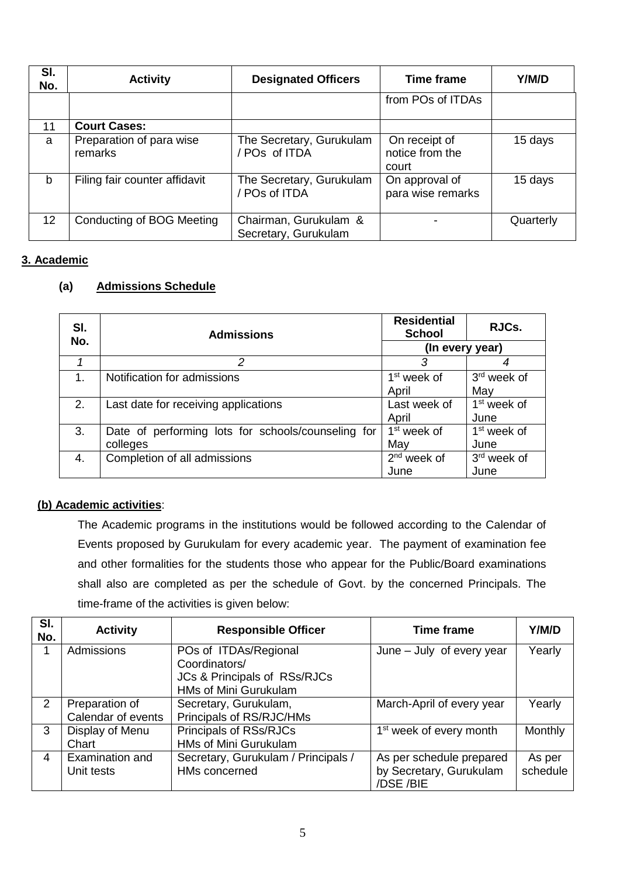| SI.<br>No. | <b>Activity</b>                     | <b>Designated Officers</b>                    | <b>Time frame</b>                         | Y/M/D     |
|------------|-------------------------------------|-----------------------------------------------|-------------------------------------------|-----------|
|            |                                     |                                               | from POs of ITDAs                         |           |
| 11         | <b>Court Cases:</b>                 |                                               |                                           |           |
| a          | Preparation of para wise<br>remarks | The Secretary, Gurukulam<br>POs of ITDA       | On receipt of<br>notice from the<br>court | 15 days   |
| b          | Filing fair counter affidavit       | The Secretary, Gurukulam<br>POs of ITDA       | On approval of<br>para wise remarks       | 15 days   |
| 12         | Conducting of BOG Meeting           | Chairman, Gurukulam &<br>Secretary, Gurukulam |                                           | Quarterly |

# **3. Academic**

# **(a) Admissions Schedule**

| SI.<br>No. | <b>Admissions</b>                                              | <b>Residential</b><br><b>School</b> | RJCs.                           |
|------------|----------------------------------------------------------------|-------------------------------------|---------------------------------|
|            |                                                                | (In every year)                     |                                 |
|            | 2                                                              | 3                                   |                                 |
| 1.         | Notification for admissions                                    | 1 <sup>st</sup> week of<br>April    | 3 <sup>rd</sup> week of<br>May  |
| 2.         | Last date for receiving applications                           | Last week of<br>April               | 1 <sup>st</sup> week of<br>June |
| 3.         | Date of performing lots for schools/counseling for<br>colleges | 1 <sup>st</sup> week of<br>May      | 1 <sup>st</sup> week of<br>June |
| 4.         | Completion of all admissions                                   | $2nd$ week of<br>June               | 3 <sup>rd</sup> week of<br>June |

#### **(b) Academic activities**:

The Academic programs in the institutions would be followed according to the Calendar of Events proposed by Gurukulam for every academic year. The payment of examination fee and other formalities for the students those who appear for the Public/Board examinations shall also are completed as per the schedule of Govt. by the concerned Principals. The time-frame of the activities is given below:

| SI.<br>No. | <b>Activity</b>    | <b>Responsible Officer</b>                                             | <b>Time frame</b>                   | Y/M/D    |
|------------|--------------------|------------------------------------------------------------------------|-------------------------------------|----------|
|            | Admissions         | POs of ITDAs/Regional<br>Coordinators/<br>JCs & Principals of RSs/RJCs | June – July of every year           | Yearly   |
|            |                    | HMs of Mini Gurukulam                                                  |                                     |          |
| 2          | Preparation of     | Secretary, Gurukulam,                                                  | March-April of every year           | Yearly   |
|            | Calendar of events | Principals of RS/RJC/HMs                                               |                                     |          |
| 3          | Display of Menu    | Principals of RSs/RJCs                                                 | 1 <sup>st</sup> week of every month | Monthly  |
|            | Chart              | HMs of Mini Gurukulam                                                  |                                     |          |
| 4          | Examination and    | Secretary, Gurukulam / Principals /                                    | As per schedule prepared            | As per   |
|            | Unit tests         | HMs concerned                                                          | by Secretary, Gurukulam<br>/DSE/BIE | schedule |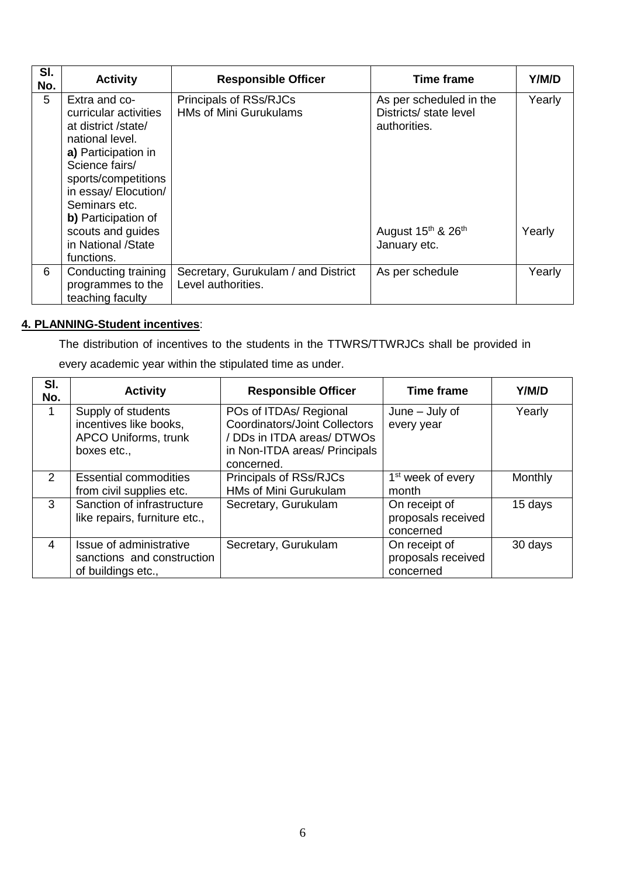| SI.<br>No. | <b>Activity</b>                                                                                                                                                                                                                       | <b>Responsible Officer</b>                                | <b>Time frame</b>                                                                                               | Y/M/D            |
|------------|---------------------------------------------------------------------------------------------------------------------------------------------------------------------------------------------------------------------------------------|-----------------------------------------------------------|-----------------------------------------------------------------------------------------------------------------|------------------|
| 5          | Extra and co-<br>curricular activities<br>at district /state/<br>national level.<br>a) Participation in<br>Science fairs/<br>sports/competitions<br>in essay/ Elocution/<br>Seminars etc.<br>b) Participation of<br>scouts and guides | Principals of RSs/RJCs<br><b>HMs of Mini Gurukulams</b>   | As per scheduled in the<br>Districts/ state level<br>authorities.<br>August 15 <sup>th</sup> & 26 <sup>th</sup> | Yearly<br>Yearly |
|            | in National /State<br>functions.                                                                                                                                                                                                      |                                                           | January etc.                                                                                                    |                  |
| 6          | Conducting training<br>programmes to the<br>teaching faculty                                                                                                                                                                          | Secretary, Gurukulam / and District<br>Level authorities. | As per schedule                                                                                                 | Yearly           |

# **4. PLANNING-Student incentives**:

The distribution of incentives to the students in the TTWRS/TTWRJCs shall be provided in

every academic year within the stipulated time as under.

| SI.<br>No.    | <b>Activity</b>                                                                     | <b>Responsible Officer</b>                                                                                                                  | <b>Time frame</b>                                | Y/M/D   |
|---------------|-------------------------------------------------------------------------------------|---------------------------------------------------------------------------------------------------------------------------------------------|--------------------------------------------------|---------|
|               | Supply of students<br>incentives like books,<br>APCO Uniforms, trunk<br>boxes etc., | POs of ITDAs/ Regional<br><b>Coordinators/Joint Collectors</b><br>/ DDs in ITDA areas/ DTWOs<br>in Non-ITDA areas/ Principals<br>concerned. | $June - July of$<br>every year                   | Yearly  |
| $\mathcal{P}$ | <b>Essential commodities</b><br>from civil supplies etc.                            | Principals of RSs/RJCs<br><b>HMs of Mini Gurukulam</b>                                                                                      | 1 <sup>st</sup> week of every<br>month           | Monthly |
| 3             | Sanction of infrastructure<br>like repairs, furniture etc.,                         | Secretary, Gurukulam                                                                                                                        | On receipt of<br>proposals received<br>concerned | 15 days |
| 4             | Issue of administrative<br>sanctions and construction<br>of buildings etc.,         | Secretary, Gurukulam                                                                                                                        | On receipt of<br>proposals received<br>concerned | 30 days |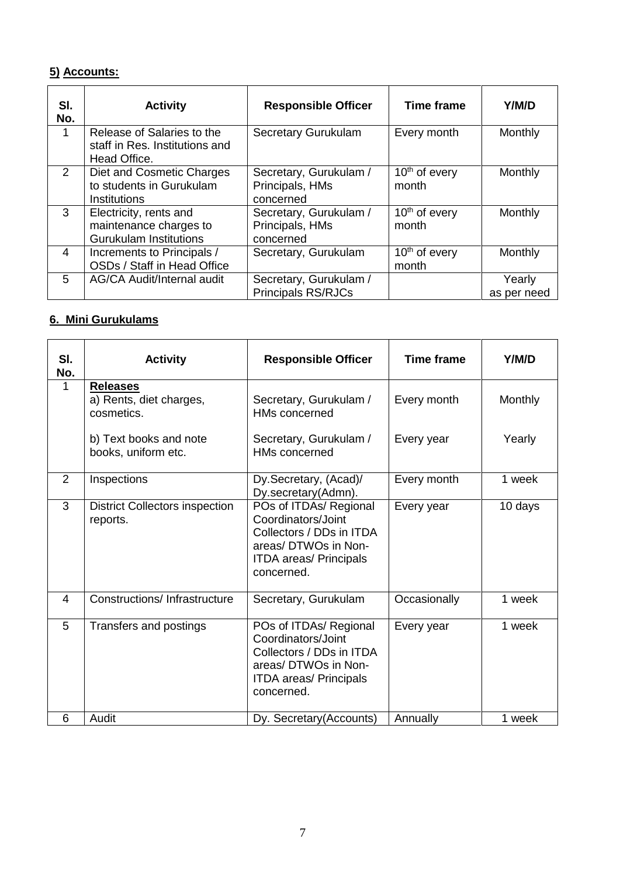# **5) Accounts:**

| SI.<br>No. | <b>Activity</b>                                                                   | <b>Responsible Officer</b>                             | <b>Time frame</b>                  | Y/M/D                 |
|------------|-----------------------------------------------------------------------------------|--------------------------------------------------------|------------------------------------|-----------------------|
| 1          | Release of Salaries to the<br>staff in Res. Institutions and<br>Head Office.      | <b>Secretary Gurukulam</b>                             | Every month                        | Monthly               |
| 2          | Diet and Cosmetic Charges<br>to students in Gurukulam<br>Institutions             | Secretary, Gurukulam /<br>Principals, HMs<br>concerned | $10th$ of every<br>month           | Monthly               |
| 3          | Electricity, rents and<br>maintenance charges to<br><b>Gurukulam Institutions</b> | Secretary, Gurukulam /<br>Principals, HMs<br>concerned | $10th$ of every<br>month           | Monthly               |
| 4          | Increments to Principals /<br>OSDs / Staff in Head Office                         | Secretary, Gurukulam                                   | 10 <sup>th</sup> of every<br>month | Monthly               |
| 5          | AG/CA Audit/Internal audit                                                        | Secretary, Gurukulam /<br><b>Principals RS/RJCs</b>    |                                    | Yearly<br>as per need |

# **6. Mini Gurukulams**

| SI.<br>No.     | <b>Activity</b>                                          | <b>Responsible Officer</b>                                                                                                                      | <b>Time frame</b> | Y/M/D   |
|----------------|----------------------------------------------------------|-------------------------------------------------------------------------------------------------------------------------------------------------|-------------------|---------|
| $\mathbf 1$    | <b>Releases</b><br>a) Rents, diet charges,<br>cosmetics. | Secretary, Gurukulam /<br><b>HMs concerned</b>                                                                                                  | Every month       | Monthly |
|                | b) Text books and note<br>books, uniform etc.            | Secretary, Gurukulam /<br><b>HMs concerned</b>                                                                                                  | Every year        | Yearly  |
| $\overline{2}$ | Inspections                                              | Dy.Secretary, (Acad)/<br>Dy.secretary(Admn).                                                                                                    | Every month       | 1 week  |
| 3              | <b>District Collectors inspection</b><br>reports.        | POs of ITDAs/ Regional<br>Coordinators/Joint<br>Collectors / DDs in ITDA<br>areas/ DTWOs in Non-<br><b>ITDA areas/ Principals</b><br>concerned. | Every year        | 10 days |
| 4              | Constructions/Infrastructure                             | Secretary, Gurukulam                                                                                                                            | Occasionally      | 1 week  |
| 5              | Transfers and postings                                   | POs of ITDAs/ Regional<br>Coordinators/Joint<br>Collectors / DDs in ITDA<br>areas/ DTWOs in Non-<br><b>ITDA areas/ Principals</b><br>concerned. | Every year        | 1 week  |
| 6              | Audit                                                    | Dy. Secretary (Accounts)                                                                                                                        | Annually          | 1 week  |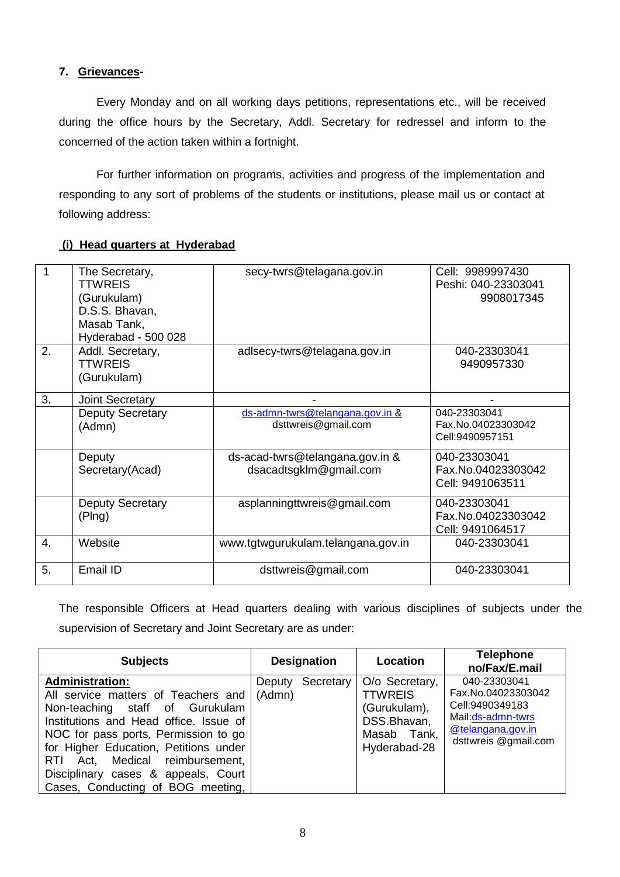### **7. Grievances-**

Every Monday and on all working days petitions, representations etc., will be received during the office hours by the Secretary, Addl. Secretary for redressel and inform to the concerned of the action taken within a fortnight.

For further information on programs, activities and progress of the implementation and responding to any sort of problems of the students or institutions, please mail us or contact at following address:

### **(i) Head quarters at Hyderabad**

|    | The Secretary,          | secy-twrs@telagana.gov.in          | Cell: 9989997430    |
|----|-------------------------|------------------------------------|---------------------|
|    | <b>TTWREIS</b>          |                                    | Peshi: 040-23303041 |
|    | (Gurukulam)             |                                    | 9908017345          |
|    | D.S.S. Bhavan,          |                                    |                     |
|    | Masab Tank,             |                                    |                     |
|    | Hyderabad - 500 028     |                                    |                     |
| 2. | Addl. Secretary,        | adlsecy-twrs@telagana.gov.in       | 040-23303041        |
|    | <b>TTWREIS</b>          |                                    | 9490957330          |
|    | (Gurukulam)             |                                    |                     |
| 3. | <b>Joint Secretary</b>  |                                    |                     |
|    | <b>Deputy Secretary</b> | ds-admn-twrs@telangana.gov.in &    | 040-23303041        |
|    | (Admn)                  | dsttwreis@gmail.com                | Fax.No.04023303042  |
|    |                         |                                    | Cell:9490957151     |
|    | Deputy                  | ds-acad-twrs@telangana.gov.in &    | 040-23303041        |
|    | Secretary(Acad)         | dsacadtsgklm@gmail.com             | Fax.No.04023303042  |
|    |                         |                                    | Cell: 9491063511    |
|    | <b>Deputy Secretary</b> | asplanningttwreis@gmail.com        | 040-23303041        |
|    | (Plng)                  |                                    | Fax.No.04023303042  |
|    |                         |                                    | Cell: 9491064517    |
| 4. | Website                 | www.tgtwgurukulam.telangana.gov.in | 040-23303041        |
|    |                         |                                    |                     |
| 5. | Email ID                | dsttwreis@gmail.com                | 040-23303041        |

The responsible Officers at Head quarters dealing with various disciplines of subjects under the supervision of Secretary and Joint Secretary are as under:

| <b>Subjects</b>                                                                                                                                                                                                                                                                                                                              |                  | <b>Designation</b> | Location                                                                                       | <b>Telephone</b><br>no/Fax/E.mail                                                                                       |
|----------------------------------------------------------------------------------------------------------------------------------------------------------------------------------------------------------------------------------------------------------------------------------------------------------------------------------------------|------------------|--------------------|------------------------------------------------------------------------------------------------|-------------------------------------------------------------------------------------------------------------------------|
| <b>Administration:</b><br>All service matters of Teachers and  <br>Non-teaching staff of Gurukulam<br>Institutions and Head office. Issue of<br>NOC for pass ports, Permission to go<br>for Higher Education, Petitions under<br>RTI Act, Medical reimbursement,<br>Disciplinary cases & appeals, Court<br>Cases, Conducting of BOG meeting, | Deputy<br>(Admn) | Secretary          | O/o Secretary,<br><b>TTWREIS</b><br>(Gurukulam),<br>DSS.Bhavan,<br>Masab Tank,<br>Hyderabad-28 | 040-23303041<br>Fax.No.04023303042<br>Cell:9490349183<br>Mail:ds-admn-twrs<br>@telangana.gov.in<br>dsttwreis @gmail.com |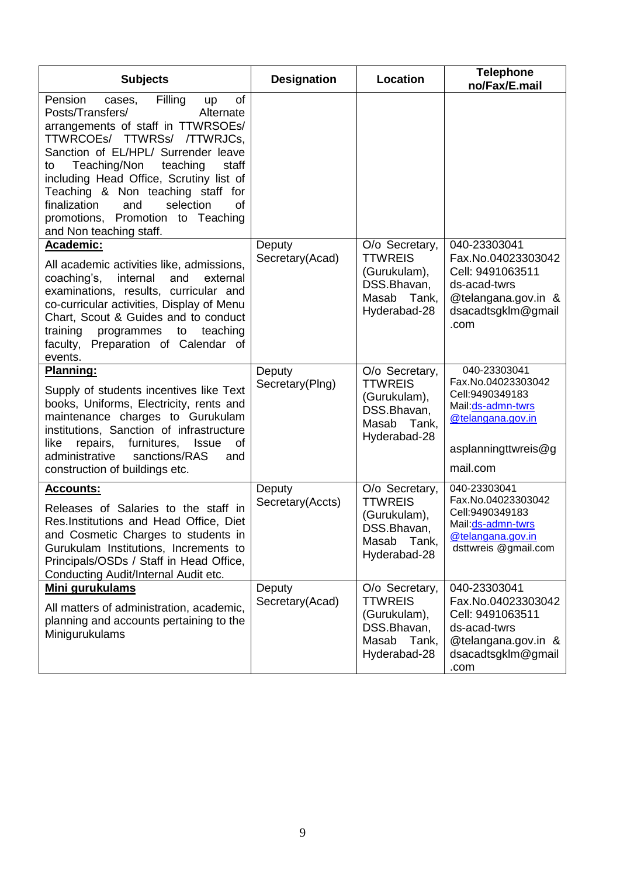| <b>Subjects</b>                                                                                                                                                                                                                                                                                                                                                                                                            | <b>Designation</b>         | Location                                                                                          | <b>Telephone</b><br>no/Fax/E.mail                                                                                                    |
|----------------------------------------------------------------------------------------------------------------------------------------------------------------------------------------------------------------------------------------------------------------------------------------------------------------------------------------------------------------------------------------------------------------------------|----------------------------|---------------------------------------------------------------------------------------------------|--------------------------------------------------------------------------------------------------------------------------------------|
| Filling<br>of<br>Pension<br>cases,<br>up<br>Posts/Transfers/<br>Alternate<br>arrangements of staff in TTWRSOEs/<br>TTWRCOEs/ TTWRSs/ /TTWRJCs,<br>Sanction of EL/HPL/ Surrender leave<br>Teaching/Non<br>teaching<br>staff<br>to<br>including Head Office, Scrutiny list of<br>Teaching & Non teaching staff for<br>finalization<br>selection<br>of<br>and<br>promotions, Promotion to Teaching<br>and Non teaching staff. |                            |                                                                                                   |                                                                                                                                      |
| Academic:<br>All academic activities like, admissions,<br>coaching's,<br>internal<br>and<br>external<br>examinations, results, curricular and<br>co-curricular activities, Display of Menu<br>Chart, Scout & Guides and to conduct<br>training<br>programmes to<br>teaching<br>faculty, Preparation of Calendar of<br>events.                                                                                              | Deputy<br>Secretary(Acad)  | O/o Secretary,<br><b>TTWREIS</b><br>(Gurukulam),<br>DSS.Bhavan,<br>Masab<br>Tank,<br>Hyderabad-28 | 040-23303041<br>Fax.No.04023303042<br>Cell: 9491063511<br>ds-acad-twrs<br>@telangana.gov.in &<br>dsacadtsgklm@gmail<br>.com          |
| Planning:<br>Supply of students incentives like Text<br>books, Uniforms, Electricity, rents and<br>maintenance charges to Gurukulam<br>institutions, Sanction of infrastructure<br>furnitures, Issue<br>of<br>like<br>repairs,<br>administrative<br>sanctions/RAS<br>and<br>construction of buildings etc.                                                                                                                 | Deputy<br>Secretary(Plng)  | O/o Secretary,<br><b>TTWREIS</b><br>(Gurukulam),<br>DSS.Bhavan,<br>Masab<br>Tank,<br>Hyderabad-28 | 040-23303041<br>Fax.No.04023303042<br>Cell: 9490349183<br>Mail: ds-admn-twrs<br>@telangana.gov.in<br>asplanningttwreis@g<br>mail.com |
| <b>Accounts:</b><br>Releases of Salaries to the staff in<br>Res.Institutions and Head Office, Diet<br>and Cosmetic Charges to students in<br>Gurukulam Institutions, Increments to<br>Principals/OSDs / Staff in Head Office,<br>Conducting Audit/Internal Audit etc.                                                                                                                                                      | Deputy<br>Secretary(Accts) | O/o Secretary,<br><b>TTWREIS</b><br>(Gurukulam),<br>DSS.Bhavan,<br>Masab<br>Tank,<br>Hyderabad-28 | 040-23303041<br>Fax.No.04023303042<br>Cell: 9490349183<br>Mail:ds-admn-twrs<br>@telangana.gov.in<br>dsttwreis @gmail.com             |
| Mini gurukulams<br>All matters of administration, academic,<br>planning and accounts pertaining to the<br>Minigurukulams                                                                                                                                                                                                                                                                                                   | Deputy<br>Secretary(Acad)  | O/o Secretary,<br><b>TTWREIS</b><br>(Gurukulam),<br>DSS.Bhavan,<br>Masab<br>Tank,<br>Hyderabad-28 | 040-23303041<br>Fax.No.04023303042<br>Cell: 9491063511<br>ds-acad-twrs<br>@telangana.gov.in &<br>dsacadtsgklm@gmail<br>.com          |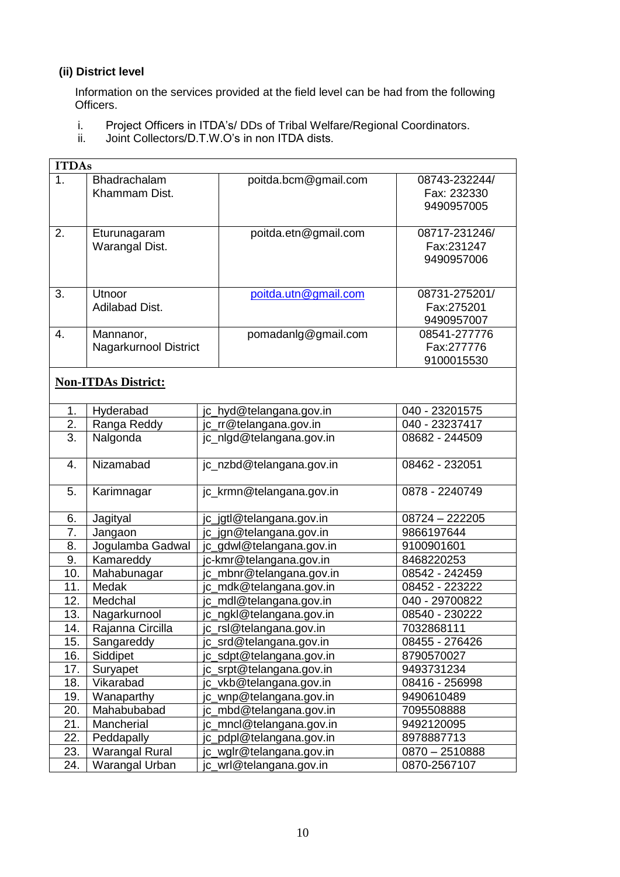# **(ii) District level**

 Information on the services provided at the field level can be had from the following Officers.

- i. Project Officers in ITDA's/ DDs of Tribal Welfare/Regional Coordinators.
- ii. Joint Collectors/D.T.W.O's in non ITDA dists.

| <b>ITDAs</b>               |                                    |                                                      |                                            |  |  |  |  |  |
|----------------------------|------------------------------------|------------------------------------------------------|--------------------------------------------|--|--|--|--|--|
| 1 <sub>1</sub>             | Bhadrachalam<br>Khammam Dist.      | poitda.bcm@gmail.com                                 | 08743-232244/<br>Fax: 232330<br>9490957005 |  |  |  |  |  |
| 2.                         | Eturunagaram<br>Warangal Dist.     | poitda.etn@gmail.com                                 | 08717-231246/<br>Fax:231247<br>9490957006  |  |  |  |  |  |
| 3.                         | Utnoor<br><b>Adilabad Dist.</b>    | poitda.utn@gmail.com                                 | 08731-275201/<br>Fax:275201<br>9490957007  |  |  |  |  |  |
| 4.                         | Mannanor,<br>Nagarkurnool District | pomadanlg@gmail.com                                  | 08541-277776<br>Fax:277776<br>9100015530   |  |  |  |  |  |
| <b>Non-ITDAs District:</b> |                                    |                                                      |                                            |  |  |  |  |  |
| 1.                         | Hyderabad                          | jc_hyd@telangana.gov.in                              | 040 - 23201575                             |  |  |  |  |  |
| 2.                         | Ranga Reddy                        | jc_rr@telangana.gov.in                               | 040 - 23237417                             |  |  |  |  |  |
| 3.                         | Nalgonda                           | 08682 - 244509                                       |                                            |  |  |  |  |  |
| 4.                         | Nizamabad                          | jc_nzbd@telangana.gov.in                             | 08462 - 232051                             |  |  |  |  |  |
| 5.                         | Karimnagar                         | jc_krmn@telangana.gov.in                             | 0878 - 2240749                             |  |  |  |  |  |
| 6.                         | Jagityal                           | jc_jgtl@telangana.gov.in                             | 08724 - 222205                             |  |  |  |  |  |
| 7.                         | Jangaon                            | jc_jgn@telangana.gov.in                              | 9866197644                                 |  |  |  |  |  |
| 8.                         | Jogulamba Gadwal                   | jc_gdwl@telangana.gov.in                             | 9100901601                                 |  |  |  |  |  |
| 9.                         | Kamareddy                          | jc-kmr@telangana.gov.in                              | 8468220253                                 |  |  |  |  |  |
| 10.                        | Mahabunagar                        | jc_mbnr@telangana.gov.in                             | 08542 - 242459                             |  |  |  |  |  |
| 11.                        | Medak                              | jc_mdk@telangana.gov.in                              | 08452 - 223222                             |  |  |  |  |  |
| 12.                        | Medchal                            | jc_mdl@telangana.gov.in                              | 040 - 29700822                             |  |  |  |  |  |
| 13.                        | Nagarkurnool                       | jc_ngkl@telangana.gov.in                             | 08540 - 230222                             |  |  |  |  |  |
| 14.                        | Rajanna Circilla                   | c_rsl@telangana.gov.in                               | 7032868111                                 |  |  |  |  |  |
| 15.                        | Sangareddy                         | jc_srd@telangana.gov.in                              | 08455 - 276426                             |  |  |  |  |  |
| 16.                        | Siddipet                           | jc_sdpt@telangana.gov.in                             | 8790570027                                 |  |  |  |  |  |
| 17.                        | Suryapet                           | jc_srpt@telangana.gov.in                             | 9493731234                                 |  |  |  |  |  |
| 18.                        | Vikarabad                          | jc_vkb@telangana.gov.in                              | 08416 - 256998                             |  |  |  |  |  |
| 19.                        | Wanaparthy                         | jc_wnp@telangana.gov.in                              | 9490610489                                 |  |  |  |  |  |
| 20.                        | Mahabubabad                        | jc_mbd@telangana.gov.in                              | 7095508888<br>9492120095                   |  |  |  |  |  |
| 21.                        | Mancherial                         | jc_mncl@telangana.gov.in                             |                                            |  |  |  |  |  |
| 22.                        | Peddapally                         | jc_pdpl@telangana.gov.in<br>jc_wglr@telangana.gov.in | 8978887713                                 |  |  |  |  |  |
| 23.                        | <b>Warangal Rural</b>              | 0870 - 2510888                                       |                                            |  |  |  |  |  |
| 24.                        | Warangal Urban                     | 0870-2567107                                         |                                            |  |  |  |  |  |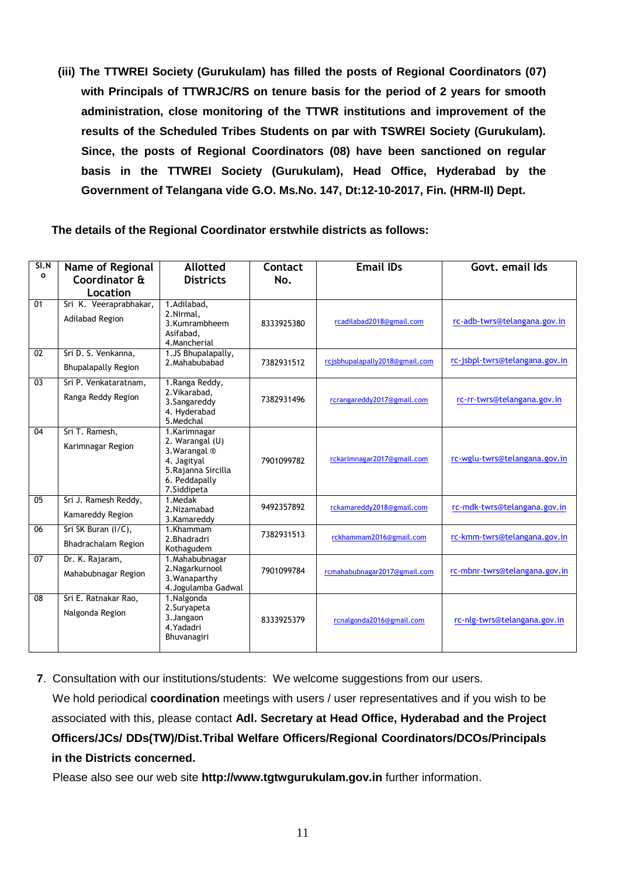**(iii) The TTWREI Society (Gurukulam) has filled the posts of Regional Coordinators (07) with Principals of TTWRJC/RS on tenure basis for the period of 2 years for smooth administration, close monitoring of the TTWR institutions and improvement of the results of the Scheduled Tribes Students on par with TSWREI Society (Gurukulam). Since, the posts of Regional Coordinators (08) have been sanctioned on regular basis in the TTWREI Society (Gurukulam), Head Office, Hyderabad by the Government of Telangana vide G.O. Ms.No. 147, Dt:12-10-2017, Fin. (HRM-II) Dept.**

**The details of the Regional Coordinator erstwhile districts as follows:**

| S I. N<br>$\mathbf{o}$ | Name of Regional<br>Coordinator &                 | <b>Allotted</b><br><b>Districts</b>                                                                                    | Contact<br>No. | <b>Email IDs</b>               | Govt. email Ids                |
|------------------------|---------------------------------------------------|------------------------------------------------------------------------------------------------------------------------|----------------|--------------------------------|--------------------------------|
|                        | Location                                          |                                                                                                                        |                |                                |                                |
| 01                     | Sri K. Veeraprabhakar,<br>Adilabad Region         | 1.Adilabad,<br>2.Nirmal.<br>3.Kumrambheem<br>Asifabad.<br>4. Mancherial                                                | 8333925380     | rcadilabad2018@gmail.com       | rc-adb-twrs@telangana.gov.in   |
| $\overline{02}$        | Sri D. S. Venkanna,<br><b>Bhupalapally Region</b> | 1.JS Bhupalapally,<br>2. Mahabubabad                                                                                   | 7382931512     | rcjsbhupalapally2018@gmail.com | rc-jsbpl-twrs@telangana.gov.in |
| 03                     | Sri P. Venkataratnam,<br>Ranga Reddy Region       | 1. Ranga Reddy,<br>2. Vikarabad,<br>3. Sangareddy<br>4. Hyderabad<br>5. Medchal                                        | 7382931496     | rcrangareddy2017@gmail.com     | rc-rr-twrs@telangana.gov.in    |
| 04                     | Sri T. Ramesh,<br>Karimnagar Region               | 1.Karimnagar<br>2. Warangal (U)<br>3. Warangal ®<br>4. Jagityal<br>5. Rajanna Sircilla<br>6. Peddapally<br>7.Siddipeta | 7901099782     | rckarimnagar2017@gmail.com     | rc-wglu-twrs@telangana.gov.in  |
| $\overline{05}$        | Sri J. Ramesh Reddy,<br>Kamareddy Region          | 1.Medak<br>2.Nizamabad<br>3.Kamareddy                                                                                  | 9492357892     | rckamareddy2018@gmail.com      | rc-mdk-twrs@telangana.gov.in   |
| 06                     | Sri SK Buran (I/C),<br>Bhadrachalam Region        | 1.Khammam<br>2. Bhadradri<br>Kothagudem                                                                                | 7382931513     | rckhammam2016@gmail.com        | rc-kmm-twrs@telangana.gov.in   |
| 07                     | Dr. K. Rajaram,<br>Mahabubnagar Region            | 1. Mahabubnagar<br>2. Nagarkurnool<br>3. Wanaparthy<br>4. Jogulamba Gadwal                                             | 7901099784     | rcmahabubnagar2017@gmail.com   | rc-mbnr-twrs@telangana.gov.in  |
| 08                     | Sri E. Ratnakar Rao,<br>Nalgonda Region           | 1. Nalgonda<br>2. Suryapeta<br>3. Jangaon<br>4. Yadadri<br>Bhuvanagiri                                                 | 8333925379     | rcnalgonda2016@gmail.com       | rc-nlg-twrs@telangana.gov.in   |

**7**. Consultation with our institutions/students: We welcome suggestions from our users. We hold periodical **coordination** meetings with users / user representatives and if you wish to be associated with this, please contact **Adl. Secretary at Head Office, Hyderabad and the Project Officers/JCs/ DDs(TW)/Dist.Tribal Welfare Officers/Regional Coordinators/DCOs/Principals in the Districts concerned.**

Please also see our web site **http://www.tgtwgurukulam.gov.in** further information.